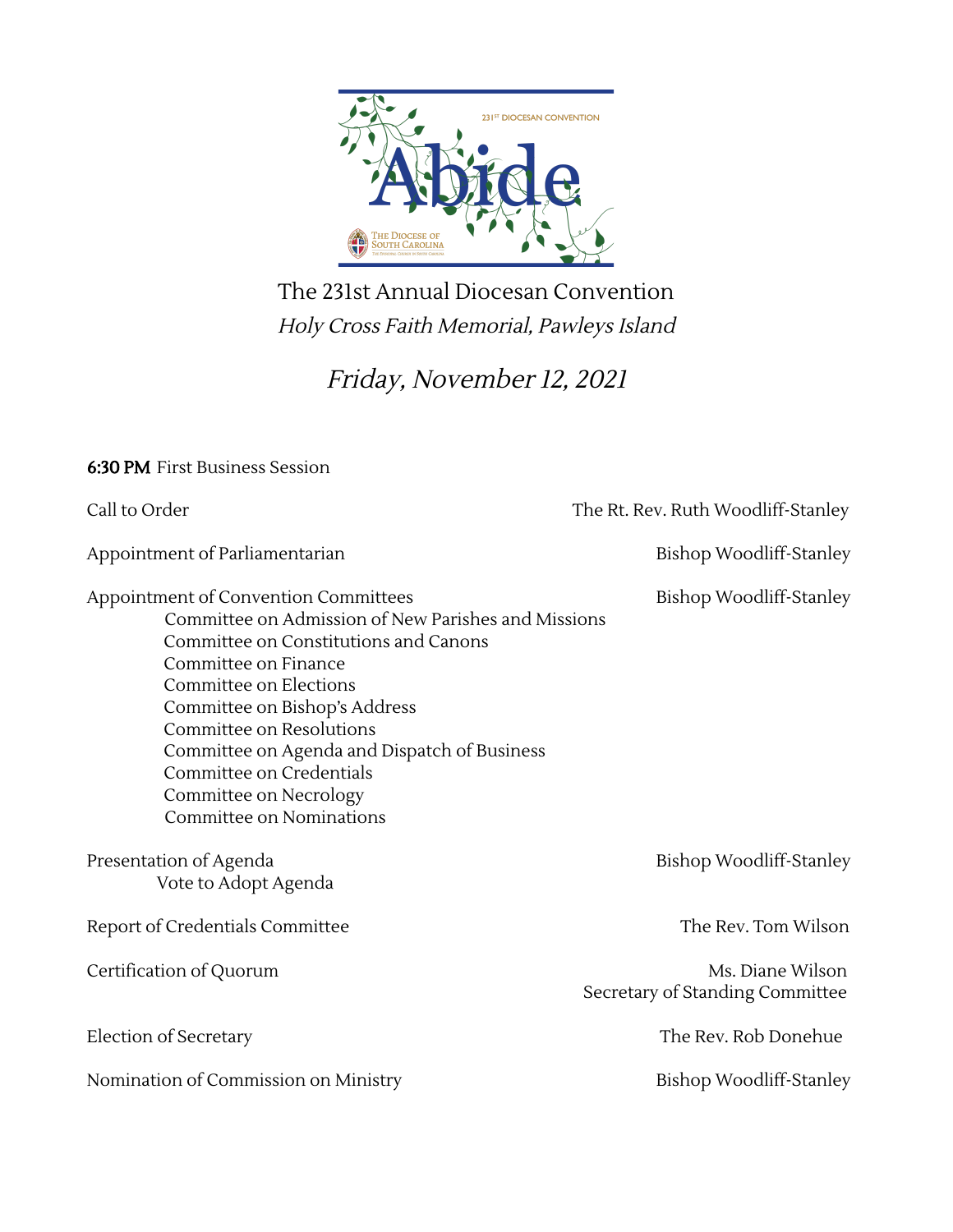

The 231st Annual Diocesan Convention Holy Cross Faith Memorial, Pawleys Island

Friday, November 12, <sup>2021</sup>

| <b>6:30 PM</b> First Business Session                                                                                                                                                                                                                                                                                                                                                 |                                                     |  |
|---------------------------------------------------------------------------------------------------------------------------------------------------------------------------------------------------------------------------------------------------------------------------------------------------------------------------------------------------------------------------------------|-----------------------------------------------------|--|
| Call to Order                                                                                                                                                                                                                                                                                                                                                                         | The Rt. Rev. Ruth Woodliff-Stanley                  |  |
| Appointment of Parliamentarian                                                                                                                                                                                                                                                                                                                                                        | Bishop Woodliff-Stanley                             |  |
| Appointment of Convention Committees<br>Committee on Admission of New Parishes and Missions<br>Committee on Constitutions and Canons<br>Committee on Finance<br>Committee on Elections<br>Committee on Bishop's Address<br>Committee on Resolutions<br>Committee on Agenda and Dispatch of Business<br>Committee on Credentials<br>Committee on Necrology<br>Committee on Nominations | Bishop Woodliff-Stanley                             |  |
| Presentation of Agenda<br>Vote to Adopt Agenda                                                                                                                                                                                                                                                                                                                                        | Bishop Woodliff-Stanley                             |  |
| Report of Credentials Committee                                                                                                                                                                                                                                                                                                                                                       | The Rev. Tom Wilson                                 |  |
| Certification of Quorum                                                                                                                                                                                                                                                                                                                                                               | Ms. Diane Wilson<br>Secretary of Standing Committee |  |
| Election of Secretary                                                                                                                                                                                                                                                                                                                                                                 | The Rev. Rob Donehue                                |  |
| Nomination of Commission on Ministry                                                                                                                                                                                                                                                                                                                                                  | Bishop Woodliff-Stanley                             |  |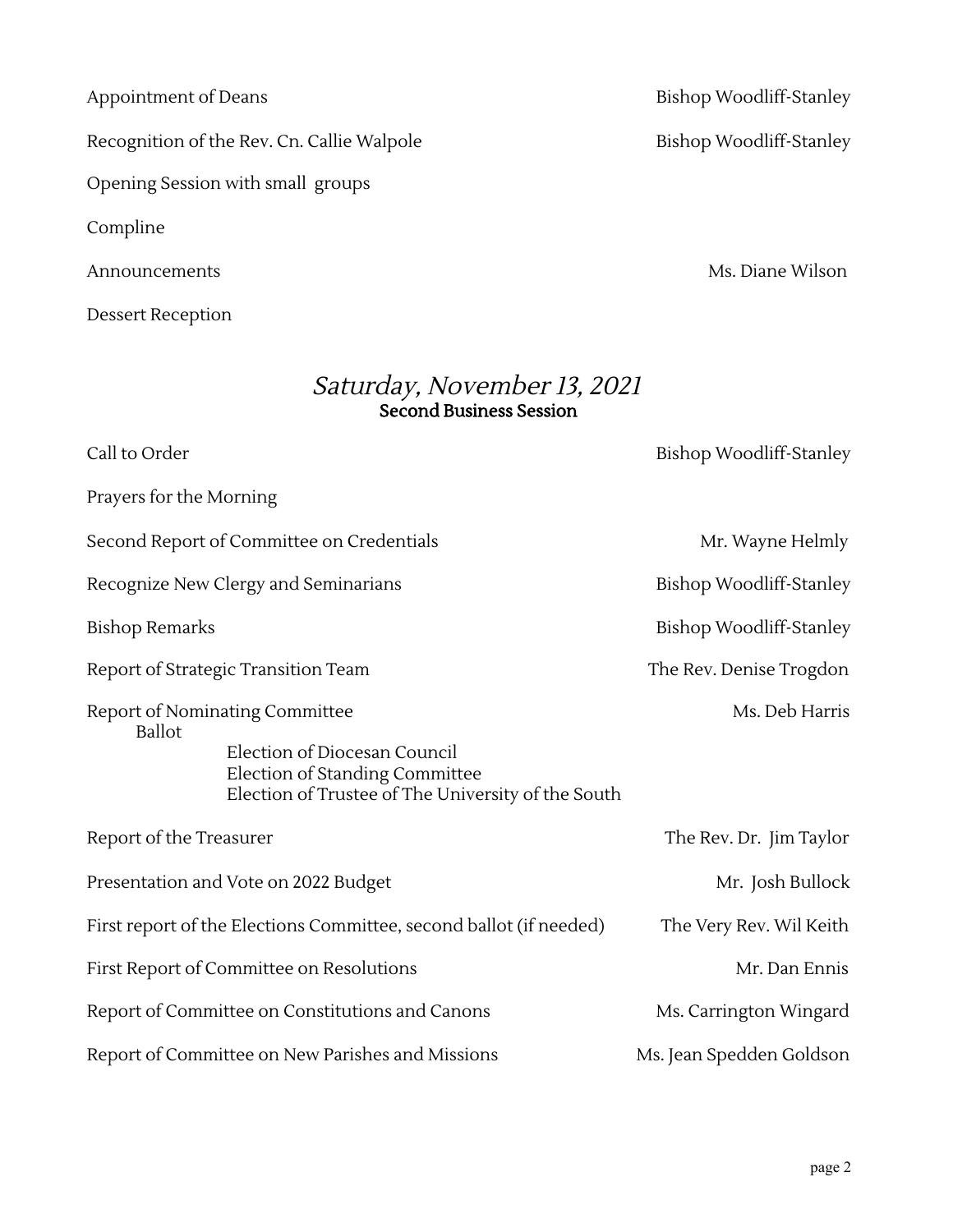Recognition of the Rev. Cn. Callie Walpole Bishop Woodliff-Stanley

Opening Session with small groups

Compline

Dessert Reception

Announcements Ms. Diane Wilson

## Saturday, November 13, <sup>2021</sup> Second Business Session

| Call to Order                                                                                                                                                           | Bishop Woodliff-Stanley  |  |
|-------------------------------------------------------------------------------------------------------------------------------------------------------------------------|--------------------------|--|
| Prayers for the Morning                                                                                                                                                 |                          |  |
| Second Report of Committee on Credentials                                                                                                                               | Mr. Wayne Helmly         |  |
| Recognize New Clergy and Seminarians                                                                                                                                    | Bishop Woodliff-Stanley  |  |
| <b>Bishop Remarks</b>                                                                                                                                                   | Bishop Woodliff-Stanley  |  |
| Report of Strategic Transition Team                                                                                                                                     | The Rev. Denise Trogdon  |  |
| Report of Nominating Committee<br><b>Ballot</b><br>Election of Diocesan Council<br>Election of Standing Committee<br>Election of Trustee of The University of the South | Ms. Deb Harris           |  |
| Report of the Treasurer                                                                                                                                                 | The Rev. Dr. Jim Taylor  |  |
| Presentation and Vote on 2022 Budget                                                                                                                                    | Mr. Josh Bullock         |  |
| First report of the Elections Committee, second ballot (if needed)<br>The Very Rev. Wil Keith                                                                           |                          |  |
| First Report of Committee on Resolutions                                                                                                                                | Mr. Dan Ennis            |  |
| Report of Committee on Constitutions and Canons                                                                                                                         | Ms. Carrington Wingard   |  |
| Report of Committee on New Parishes and Missions                                                                                                                        | Ms. Jean Spedden Goldson |  |